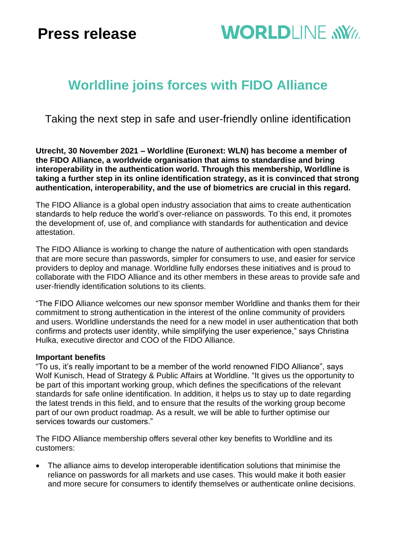# **Press release**

# **WORLDLINE NWW**

## **Worldline joins forces with FIDO Alliance**

Taking the next step in safe and user-friendly online identification

**Utrecht, 30 November 2021 – Worldline (Euronext: WLN) has become a member of the FIDO Alliance, a worldwide organisation that aims to standardise and bring interoperability in the authentication world. Through this membership, Worldline is taking a further step in its online identification strategy, as it is convinced that strong authentication, interoperability, and the use of biometrics are crucial in this regard.**

The FIDO Alliance is a global open industry association that aims to create authentication standards to help reduce the world's over-reliance on passwords. To this end, it promotes the development of, use of, and compliance with standards for authentication and device attestation.

The FIDO Alliance is working to change the nature of authentication with open standards that are more secure than passwords, simpler for consumers to use, and easier for service providers to deploy and manage. Worldline fully endorses these initiatives and is proud to collaborate with the FIDO Alliance and its other members in these areas to provide safe and user-friendly identification solutions to its clients.

"The FIDO Alliance welcomes our new sponsor member Worldline and thanks them for their commitment to strong authentication in the interest of the online community of providers and users. Worldline understands the need for a new model in user authentication that both confirms and protects user identity, while simplifying the user experience," says Christina Hulka, executive director and COO of the FIDO Alliance.

## **Important benefits**

"To us, it's really important to be a member of the world renowned FIDO Alliance", says Wolf Kunisch, Head of Strategy & Public Affairs at Worldline. "It gives us the opportunity to be part of this important working group, which defines the specifications of the relevant standards for safe online identification. In addition, it helps us to stay up to date regarding the latest trends in this field, and to ensure that the results of the working group become part of our own product roadmap. As a result, we will be able to further optimise our services towards our customers."

The FIDO Alliance membership offers several other key benefits to Worldline and its customers:

• The alliance aims to develop interoperable identification solutions that minimise the reliance on passwords for all markets and use cases. This would make it both easier and more secure for consumers to identify themselves or authenticate online decisions.